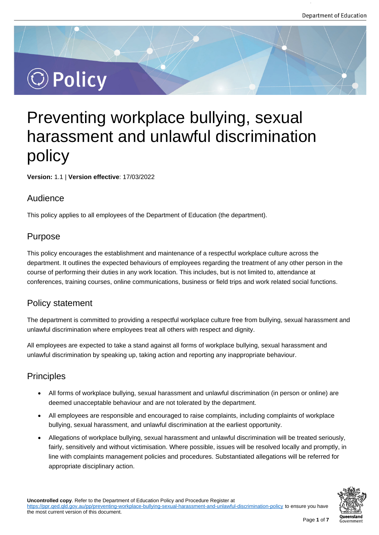# $\circledcirc$  Policy

# Preventing workplace bullying, sexual harassment and unlawful discrimination policy

**Version:** 1.1 | **Version effective**: 17/03/2022

### Audience

This policy applies to all employees of the Department of Education (the department).

# Purpose

This policy encourages the establishment and maintenance of a respectful workplace culture across the department. It outlines the expected behaviours of employees regarding the treatment of any other person in the course of performing their duties in any work location. This includes, but is not limited to, attendance at conferences, training courses, online communications, business or field trips and work related social functions.

# Policy statement

The department is committed to providing a respectful workplace culture free from bullying, sexual harassment and unlawful discrimination where employees treat all others with respect and dignity.

All employees are expected to take a stand against all forms of workplace bullying, sexual harassment and unlawful discrimination by speaking up, taking action and reporting any inappropriate behaviour.

# Principles

- All forms of workplace bullying, sexual harassment and unlawful discrimination (in person or online) are deemed unacceptable behaviour and are not tolerated by the department.
- All employees are responsible and encouraged to raise complaints, including complaints of workplace bullying, sexual harassment, and unlawful discrimination at the earliest opportunity.
- Allegations of workplace bullying, sexual harassment and unlawful discrimination will be treated seriously, fairly, sensitively and without victimisation. Where possible, issues will be resolved locally and promptly, in line with complaints management policies and procedures. Substantiated allegations will be referred for appropriate disciplinary action.

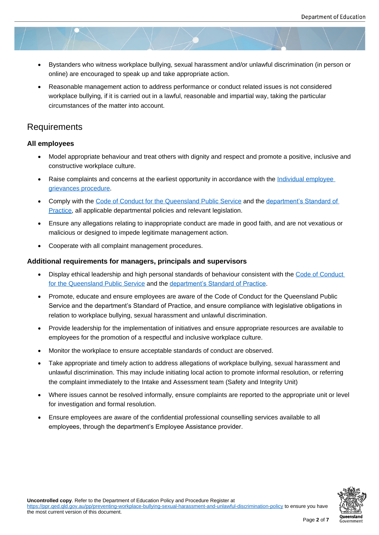- Bystanders who witness workplace bullying, sexual harassment and/or unlawful discrimination (in person or online) are encouraged to speak up and take appropriate action.
- Reasonable management action to address performance or conduct related issues is not considered workplace bullying, if it is carried out in a lawful, reasonable and impartial way, taking the particular circumstances of the matter into account.

# **Requirements**

#### **All employees**

- Model appropriate behaviour and treat others with dignity and respect and promote a positive, inclusive and constructive workplace culture.
- Raise complaints and concerns at the earliest opportunity in accordance with the Individual employee grievances procedure.
- Comply with the Code of Conduct for the Queensland Public Service and the department's Standard of Practice, all applicable departmental policies and relevant legislation.
- [Ensure any allegations](https://ppr.qed.qld.gov.au/pp/individual-employee-grievance-procedure) relating to inappropriate conduct are made in good faith, and are not vexatious or malicious or des[igned to impede legitimate management action.](https://www.forgov.qld.gov.au/code-conduct-queensland-public-service)
- [Coopera](https://qed.qld.gov.au/workingwithus/induction/workingforthedepartment/inductionandonboarding/Documents/code-of-conduct-standard-of-practice.pdf)te with all complaint management procedures.

#### **Additional requirements for managers, principals and supervisors**

- Display ethical leadership and high personal standards of behaviour consistent with the Code of Conduct for the Queensland Public Service and the department's Standard of Practice.
- Promote, educate and ensure employees are aware of the Code of Conduct for the Queensland Public Service and the department's Standard of Practice, and ensure compliance with legislat[ive obligations in](https://www.forgov.qld.gov.au/code-conduct-queensland-public-service)  [relation to workplace bullying, sexu](https://www.forgov.qld.gov.au/code-conduct-queensland-public-service)al hara[ssment and unlawful discrimination.](https://qed.qld.gov.au/workingwithus/induction/workingforthedepartment/inductionandonboarding/Documents/code-of-conduct-standard-of-practice.pdf)
- Provide leadership for the implementation of initiatives and ensure appropriate resources are available to employees for the promotion of a respectful and inclusive workplace culture.
- Monitor the workplace to ensure acceptable standards of conduct are observed.
- Take appropriate and timely action to address allegations of workplace bullying, sexual harassment and unlawful discrimination. This may include initiating local action to promote informal resolution, or referring the complaint immediately to the Intake and Assessment team (Safety and Integrity Unit)
- Where issues cannot be resolved informally, ensure complaints are reported to the appropriate unit or level for investigation and formal resolution.
- Ensure employees are aware of the confidential professional counselling services available to all employees, through the department's Employee Assistance provider.

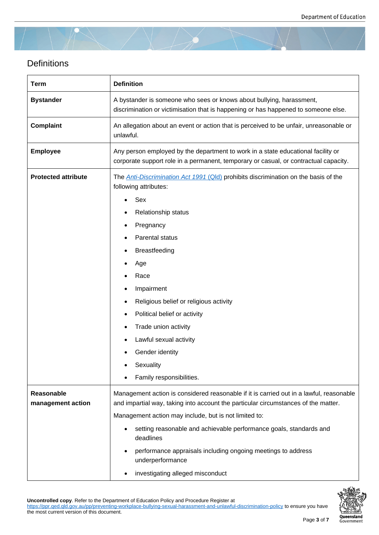# **Definitions**

| Term                            | <b>Definition</b>                                                                                                                                                                                                                                                                                                                                                                                                                                 |
|---------------------------------|---------------------------------------------------------------------------------------------------------------------------------------------------------------------------------------------------------------------------------------------------------------------------------------------------------------------------------------------------------------------------------------------------------------------------------------------------|
| <b>Bystander</b>                | A bystander is someone who sees or knows about bullying, harassment,<br>discrimination or victimisation that is happening or has happened to someone else.                                                                                                                                                                                                                                                                                        |
| Complaint                       | An allegation about an event or action that is perceived to be unfair, unreasonable or<br>unlawful.                                                                                                                                                                                                                                                                                                                                               |
| <b>Employee</b>                 | Any person employed by the department to work in a state educational facility or<br>corporate support role in a permanent, temporary or casual, or contractual capacity.                                                                                                                                                                                                                                                                          |
| <b>Protected attribute</b>      | The <b>Anti-Discrimination Act 1991 (QId)</b> prohibits discrimination on the basis of the<br>following attributes:<br>Sex<br>Relationship status<br>Pregnancy<br>Parental status<br><b>Breastfeeding</b><br>Age<br>Race<br>Impairment<br>Religious belief or religious activity                                                                                                                                                                  |
|                                 | Political belief or activity<br>Trade union activity<br>Lawful sexual activity<br>Gender identity<br>Sexuality<br>Family responsibilities.                                                                                                                                                                                                                                                                                                        |
| Reasonable<br>management action | Management action is considered reasonable if it is carried out in a lawful, reasonable<br>and impartial way, taking into account the particular circumstances of the matter.<br>Management action may include, but is not limited to:<br>setting reasonable and achievable performance goals, standards and<br>deadlines<br>performance appraisals including ongoing meetings to address<br>underperformance<br>investigating alleged misconduct |

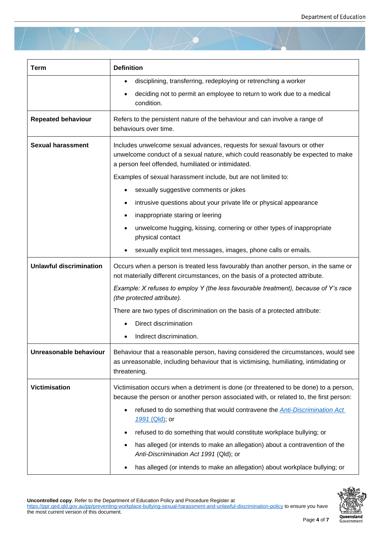| Term                           | <b>Definition</b>                                                                                                                                                                                                  |
|--------------------------------|--------------------------------------------------------------------------------------------------------------------------------------------------------------------------------------------------------------------|
|                                | disciplining, transferring, redeploying or retrenching a worker<br>٠                                                                                                                                               |
|                                | deciding not to permit an employee to return to work due to a medical<br>condition.                                                                                                                                |
| <b>Repeated behaviour</b>      | Refers to the persistent nature of the behaviour and can involve a range of<br>behaviours over time.                                                                                                               |
| <b>Sexual harassment</b>       | Includes unwelcome sexual advances, requests for sexual favours or other<br>unwelcome conduct of a sexual nature, which could reasonably be expected to make<br>a person feel offended, humiliated or intimidated. |
|                                | Examples of sexual harassment include, but are not limited to:                                                                                                                                                     |
|                                | sexually suggestive comments or jokes                                                                                                                                                                              |
|                                | intrusive questions about your private life or physical appearance                                                                                                                                                 |
|                                | inappropriate staring or leering                                                                                                                                                                                   |
|                                | unwelcome hugging, kissing, cornering or other types of inappropriate<br>physical contact                                                                                                                          |
|                                | sexually explicit text messages, images, phone calls or emails.                                                                                                                                                    |
| <b>Unlawful discrimination</b> | Occurs when a person is treated less favourably than another person, in the same or<br>not materially different circumstances, on the basis of a protected attribute.                                              |
|                                | Example: X refuses to employ Y (the less favourable treatment), because of Y's race<br>(the protected attribute).                                                                                                  |
|                                | There are two types of discrimination on the basis of a protected attribute:                                                                                                                                       |
|                                | Direct discrimination                                                                                                                                                                                              |
|                                | Indirect discrimination.                                                                                                                                                                                           |
| Unreasonable behaviour         | Behaviour that a reasonable person, having considered the circumstances, would see<br>as unreasonable, including behaviour that is victimising, humiliating, intimidating or<br>threatening.                       |
| Victimisation                  | Victimisation occurs when a detriment is done (or threatened to be done) to a person,<br>because the person or another person associated with, or related to, the first person:                                    |
|                                | refused to do something that would contravene the <b>Anti-Discrimination Act</b><br>٠<br>1991 (Qld); or                                                                                                            |
|                                | refused to do something that would constitute workplace bullying; or                                                                                                                                               |
|                                | has alleged (or intends to make an allegation) about a contravention of the<br>Anti-Discrimination Act 1991 (Qld); or                                                                                              |
|                                | has alleged (or intends to make an allegation) about workplace bullying; or                                                                                                                                        |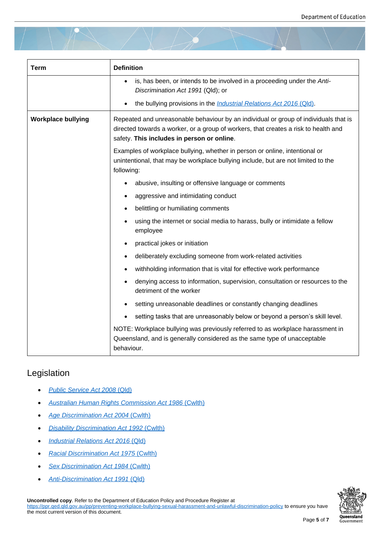| Term                      | <b>Definition</b>                                                                                                                                                                                                         |
|---------------------------|---------------------------------------------------------------------------------------------------------------------------------------------------------------------------------------------------------------------------|
|                           | is, has been, or intends to be involved in a proceeding under the Anti-<br>Discrimination Act 1991 (Qld); or                                                                                                              |
|                           | the bullying provisions in the <i>Industrial Relations Act 2016</i> (Qld).                                                                                                                                                |
| <b>Workplace bullying</b> | Repeated and unreasonable behaviour by an individual or group of individuals that is<br>directed towards a worker, or a group of workers, that creates a risk to health and<br>safety. This includes in person or online. |
|                           | Examples of workplace bullying, whether in person or online, intentional or<br>unintentional, that may be workplace bullying include, but are not limited to the<br>following:                                            |
|                           | abusive, insulting or offensive language or comments                                                                                                                                                                      |
|                           | aggressive and intimidating conduct                                                                                                                                                                                       |
|                           | belittling or humiliating comments                                                                                                                                                                                        |
|                           | using the internet or social media to harass, bully or intimidate a fellow<br>employee                                                                                                                                    |
|                           | practical jokes or initiation                                                                                                                                                                                             |
|                           | deliberately excluding someone from work-related activities<br>٠                                                                                                                                                          |
|                           | withholding information that is vital for effective work performance                                                                                                                                                      |
|                           | denying access to information, supervision, consultation or resources to the<br>detriment of the worker                                                                                                                   |
|                           | setting unreasonable deadlines or constantly changing deadlines                                                                                                                                                           |
|                           | setting tasks that are unreasonably below or beyond a person's skill level.                                                                                                                                               |
|                           | NOTE: Workplace bullying was previously referred to as workplace harassment in<br>Queensland, and is generally considered as the same type of unacceptable<br>behaviour.                                                  |

#### Legislation

- *Public Service Act 2008* (Qld)
- *Australian Human Rights Commission Act 1986* (Cwlth)
- *[Age Discrimination Act 2004](https://www.legislation.qld.gov.au/view/html/inforce/current/act-2008-038)* (Cwlth)
- *[Disability Discrimination Act 1992](https://www.legislation.gov.au/Series/C2004A03366)* (Cwlth)
- *[Industrial Relations Act 2016](https://www.legislation.gov.au/Series/C2004A01302)* [\(Qld\)](https://www.legislation.gov.au/Series/C2004A01302)
- *[Racial Discrimination Act 1975](https://www.legislation.gov.au/Series/C2004A04426)* ([Cwlth\)](https://www.legislation.gov.au/Series/C2004A04426)
- *[Sex Discrimination Act 1984](https://www.legislation.qld.gov.au/view/html/inforce/current/act-2016-063)* [\(Cwlth](https://www.legislation.qld.gov.au/view/html/inforce/current/act-2016-063))
- *[Anti-Discrimination Act 1991](https://www.legislation.gov.au/Series/C2004A00274)* ([Qld\)](https://www.legislation.gov.au/Series/C2004A00274)

**Uncontrolled copy**[. Refer to the Department of Educa](https://www.legislation.gov.au/Series/C2004A02868)tion Policy and Procedure Register at

https://ppr.qed.qld.gov.au/pp/preventing-wor[kplace-b](https://www.legislation.qld.gov.au/view/html/inforce/current/act-1991-085)ullying-sexual-harassment-and-unlawful-discrimination-policy to ensure you have the most [current version of this document.](https://www.legislation.qld.gov.au/view/html/inforce/current/act-1991-085)

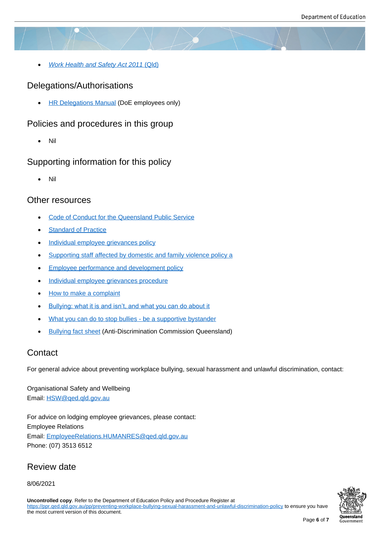*Work Health and Safety Act 2011* (Qld)

#### Delegations/Authorisations

• [HR Delegations Manual \(DoE employee](https://www.legislation.qld.gov.au/view/html/inforce/current/act-2011-018)s only)

# Policies and procedures in this group

[Nil](https://intranet.qed.qld.gov.au/Services/HumanResources/payrollhr/personaldetailspay/Pages/mydelegations.aspx)

# Supporting information for this policy

Nil

#### Other resources

- Code of Conduct for the Queensland Public Service
- Standard of Practice
- [Individual employee grievances policy](https://www.qld.gov.au/gov/code-conduct-queensland-public-service)
- [Supporting staff affec](https://qed.qld.gov.au/workingwithus/induction/workingforthedepartment/inductionandonboarding/Documents/code-of-conduct-standard-of-practice.pdf)ted by domestic and family violence policy a
- [Employee performance and developm](https://ppr.qed.qld.gov.au/pp/individual-employee-grievance-policy)ent policy
- **[Individual employee grievances procedure](https://intranet.qed.qld.gov.au/about/PrioritiesandInitiatives/Documents/domestic-family-violence-policy.docx)**
- [How to make a complaint](https://ppr.qed.qld.gov.au/pp/employee-performance-and-development-policy)
- [Bullying: what it is and isn't, and what you c](https://ppr.qed.qld.gov.au/pp/individual-employee-grievance-procedure)an do about it
- [What you can do to stop b](https://intranet.qed.qld.gov.au/Services/strategymanagement/integrity-employee-relations/Pages/Howtomakeacomplaint.aspx)ullies be a supportive bystander
- **[Bullying fact sheet \(Anti-Discrimination Commission Quee](https://www.worksafe.qld.gov.au/safety-and-prevention/mental-health/Psychosocial-hazards-and-factors/bullying)nsland)**

# **Cont[act](https://www.humanrights.gov.au/what-you-can-do-stop-bullies-be-supportive-bystander-violence-harassment-and-bullying-fact-sheet)**

For ge[neral advice about p](https://www.adcq.qld.gov.au/__data/assets/pdf_file/0003/6825/Bullying.pdf)reventing workplace bullying, sexual harassment and unlawful discrimination, contact:

Organisational Safety and Wellbeing Email: HSW@qed.qld.gov.au

For advice on lodging employee grievances, please contact: Emplo[yee Relations](mailto:HSW@qed.qld.gov.au) Email: EmployeeRelations.HUMANRES@qed.qld.gov.au Phone: (07) 3513 6512

# Revi[ew date](mailto:EmployeeRelations.HUMANRES@qed.qld.gov.au)

#### 8/06/2021

**Uncontrolled copy**. Refer to the Department of Education Policy and Procedure Register at https://ppr.qed.qld.gov.au/pp/preventing-workplace-bullying-sexual-harassment-and-unlawful-discrimination-policy to ensure you have the most current version of this document.